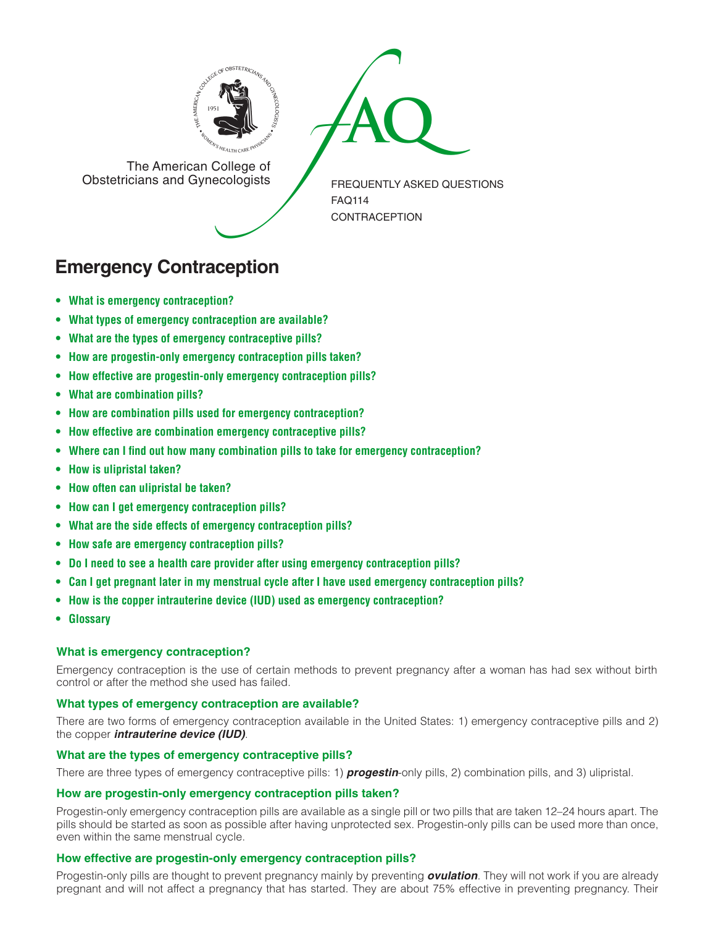



The American College of<br>Obstetricians and Gynecologists

FREQUENTLY ASKED QUESTIONS FAQ114 **CONTRACEPTION** 

# **Emergency Contraception**

- **• What is emergency [contraception?](#page-0-0)**
- **• What types of emergency [contraception](#page-0-1) are available?**
- **• What are the types of emergency [contraceptive](#page-0-2) pills?**
- **• How are [progestin-only](#page-0-3) emergency contraception pills taken?**
- **• How effective are [progestin-only](#page-0-4) emergency contraception pills?**
- **• What are [combination](#page-1-0) pills?**
- **• How are combination pills used for emergency [contraception?](#page-1-1)**
- **• How effective are combination emergency [contraceptive](#page-1-2) pills?**
- **• Where can I find out how many combination pills to take for emergency [contraception?](#page-1-3)**
- **• How is [ulipristal](#page-1-4) taken?**
- **• How often can [ulipristal](#page-1-5) be taken?**
- **• How can I get emergency [contraception](#page-1-6) pills?**
- **• What are the side effects of emergency [contraception](#page-1-7) pills?**
- **• How safe are emergency [contraception](#page-1-8) pills?**
- **• Do I need to see a health care provider after using emergency [contraception](#page-1-9) pills?**
- **• Can I get pregnant later in my menstrual cycle after I have used emergency [contraception](#page-2-0) pills?**
- **• How is the copper intrauterine device (IUD) used as emergency [contraception?](#page-2-1)**
- **[• Glossary](#page-2-2)**

# <span id="page-0-0"></span>**What is emergency contraception?**

Emergency contraception is the use of certain methods to prevent pregnancy after a woman has had sex without birth control or after the method she used has failed.

# <span id="page-0-1"></span>**What types of emergency contraception are available?**

There are two forms of emergency contraception available in the United States: 1) emergency contraceptive pills and 2) the copper *intrauterine device (IUD)*.

# <span id="page-0-2"></span>**What are the types of emergency contraceptive pills?**

There are three types of emergency contraceptive pills: 1) *progestin*-only pills, 2) combination pills, and 3) ulipristal.

# <span id="page-0-3"></span>**How are progestin-only emergency contraception pills taken?**

Progestin-only emergency contraception pills are available as a single pill or two pills that are taken 12–24 hours apart. The pills should be started as soon as possible after having unprotected sex. Progestin-only pills can be used more than once, even within the same menstrual cycle.

# <span id="page-0-4"></span>**How effective are progestin-only emergency contraception pills?**

Progestin-only pills are thought to prevent pregnancy mainly by preventing *ovulation*. They will not work if you are already pregnant and will not affect a pregnancy that has started. They are about 75% effective in preventing pregnancy. Their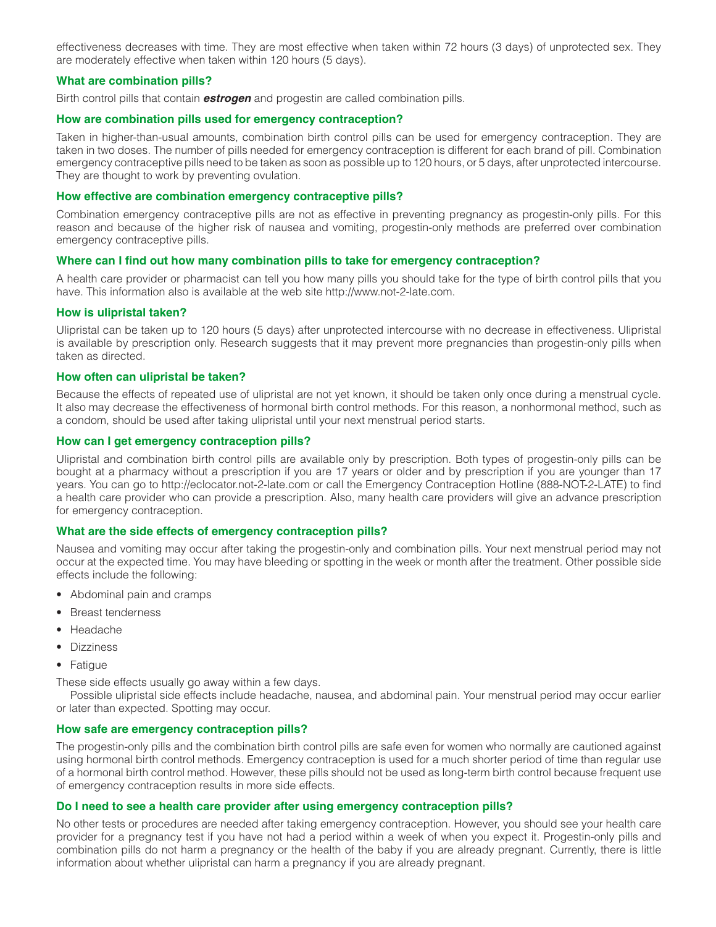effectiveness decreases with time. They are most effective when taken within 72 hours (3 days) of unprotected sex. They are moderately effective when taken within 120 hours (5 days).

# <span id="page-1-0"></span>**What are combination pills?**

Birth control pills that contain *estrogen* and progestin are called combination pills.

## <span id="page-1-1"></span>**How are combination pills used for emergency contraception?**

Taken in higher-than-usual amounts, combination birth control pills can be used for emergency contraception. They are taken in two doses. The number of pills needed for emergency contraception is different for each brand of pill. Combination emergency contraceptive pills need to be taken as soon as possible up to 120 hours, or 5 days, after unprotected intercourse. They are thought to work by preventing ovulation.

## <span id="page-1-2"></span>**How effective are combination emergency contraceptive pills?**

Combination emergency contraceptive pills are not as effective in preventing pregnancy as progestin-only pills. For this reason and because of the higher risk of nausea and vomiting, progestin-only methods are preferred over combination emergency contraceptive pills.

#### <span id="page-1-3"></span>**Where can I find out how many combination pills to take for emergency contraception?**

A health care provider or pharmacist can tell you how many pills you should take for the type of birth control pills that you have. This information also is available at the web site http://www.not-2-late.com.

#### <span id="page-1-4"></span>**How is ulipristal taken?**

Ulipristal can be taken up to 120 hours (5 days) after unprotected intercourse with no decrease in effectiveness. Ulipristal is available by prescription only. Research suggests that it may prevent more pregnancies than progestin-only pills when taken as directed.

#### <span id="page-1-5"></span>**How often can ulipristal be taken?**

Because the effects of repeated use of ulipristal are not yet known, it should be taken only once during a menstrual cycle. It also may decrease the effectiveness of hormonal birth control methods. For this reason, a nonhormonal method, such as a condom, should be used after taking ulipristal until your next menstrual period starts.

#### <span id="page-1-6"></span>**How can I get emergency contraception pills?**

Ulipristal and combination birth control pills are available only by prescription. Both types of progestin-only pills can be bought at a pharmacy without a prescription if you are 17 years or older and by prescription if you are younger than 17 years. You can go to http://eclocator.not-2-late.com or call the Emergency Contraception Hotline (888-NOT-2-LATE) to find a health care provider who can provide a prescription. Also, many health care providers will give an advance prescription for emergency contraception.

#### <span id="page-1-7"></span>**What are the side effects of emergency contraception pills?**

Nausea and vomiting may occur after taking the progestin-only and combination pills. Your next menstrual period may not occur at the expected time. You may have bleeding or spotting in the week or month after the treatment. Other possible side effects include the following:

- Abdominal pain and cramps
- Breast tenderness
- Headache
- Dizziness
- Fatigue

These side effects usually go away within a few days.

Possible ulipristal side effects include headache, nausea, and abdominal pain. Your menstrual period may occur earlier or later than expected. Spotting may occur.

#### <span id="page-1-8"></span>**How safe are emergency contraception pills?**

The progestin-only pills and the combination birth control pills are safe even for women who normally are cautioned against using hormonal birth control methods. Emergency contraception is used for a much shorter period of time than regular use of a hormonal birth control method. However, these pills should not be used as long-term birth control because frequent use of emergency contraception results in more side effects.

#### <span id="page-1-9"></span>**Do I need to see a health care provider after using emergency contraception pills?**

No other tests or procedures are needed after taking emergency contraception. However, you should see your health care provider for a pregnancy test if you have not had a period within a week of when you expect it. Progestin-only pills and combination pills do not harm a pregnancy or the health of the baby if you are already pregnant. Currently, there is little information about whether ulipristal can harm a pregnancy if you are already pregnant.